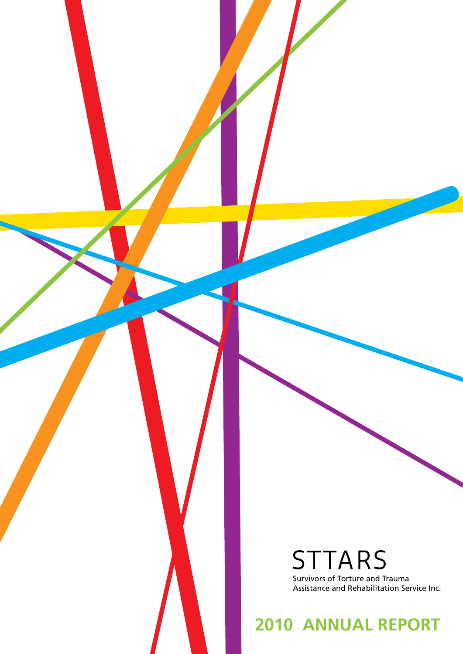**STTARS** Survivors of Torture and Trauma Assistance and Rehabilitation Service Inc.

**2010 ANNUAL REPORT**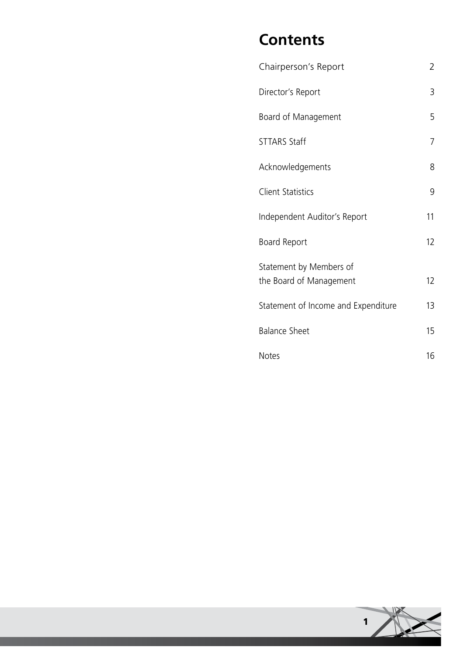## **Contents**

| Chairperson's Report                | 2  |
|-------------------------------------|----|
| Director's Report                   | 3  |
| Board of Management                 | 5  |
| <b>STTARS Staff</b>                 | 7  |
| Acknowledgements                    | 8  |
| <b>Client Statistics</b>            | 9  |
| Independent Auditor's Report        | 11 |
| Board Report                        | 12 |
| Statement by Members of             |    |
| the Board of Management             | 12 |
| Statement of Income and Expenditure | 13 |
| <b>Balance Sheet</b>                | 15 |
| <b>Notes</b>                        | 16 |

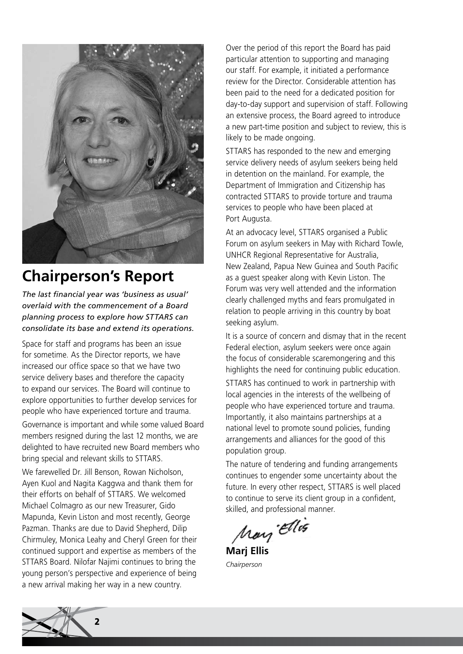

## **Chairperson's Report**

*The last financial year was 'business as usual' overlaid with the commencement of a Board planning process to explore how STTARS can consolidate its base and extend its operations.* 

Space for staff and programs has been an issue for sometime. As the Director reports, we have increased our office space so that we have two service delivery bases and therefore the capacity to expand our services. The Board will continue to explore opportunities to further develop services for people who have experienced torture and trauma.

Governance is important and while some valued Board members resigned during the last 12 months, we are delighted to have recruited new Board members who bring special and relevant skills to STTARS.

We farewelled Dr. Jill Benson, Rowan Nicholson, Ayen Kuol and Nagita Kaggwa and thank them for their efforts on behalf of STTARS. We welcomed Michael Colmagro as our new Treasurer, Gido Mapunda, Kevin Liston and most recently, George Pazman. Thanks are due to David Shepherd, Dilip Chirmuley, Monica Leahy and Cheryl Green for their continued support and expertise as members of the STTARS Board. Nilofar Najimi continues to bring the young person's perspective and experience of being a new arrival making her way in a new country.

Over the period of this report the Board has paid particular attention to supporting and managing our staff. For example, it initiated a performance review for the Director. Considerable attention has been paid to the need for a dedicated position for day-to-day support and supervision of staff. Following an extensive process, the Board agreed to introduce a new part-time position and subject to review, this is likely to be made ongoing.

STTARS has responded to the new and emerging service delivery needs of asylum seekers being held in detention on the mainland. For example, the Department of Immigration and Citizenship has contracted STTARS to provide torture and trauma services to people who have been placed at Port Augusta.

At an advocacy level, STTARS organised a Public Forum on asylum seekers in May with Richard Towle, UNHCR Regional Representative for Australia, New Zealand, Papua New Guinea and South Pacific as a guest speaker along with Kevin Liston. The Forum was very well attended and the information clearly challenged myths and fears promulgated in relation to people arriving in this country by boat seeking asylum.

It is a source of concern and dismay that in the recent Federal election, asylum seekers were once again the focus of considerable scaremongering and this highlights the need for continuing public education.

STTARS has continued to work in partnership with local agencies in the interests of the wellbeing of people who have experienced torture and trauma. Importantly, it also maintains partnerships at a national level to promote sound policies, funding arrangements and alliances for the good of this population group.

The nature of tendering and funding arrangements continues to engender some uncertainty about the future. In every other respect, STTARS is well placed to continue to serve its client group in a confident, skilled, and professional manner.

May Ellis

**Marj Ellis** *Chairperson*

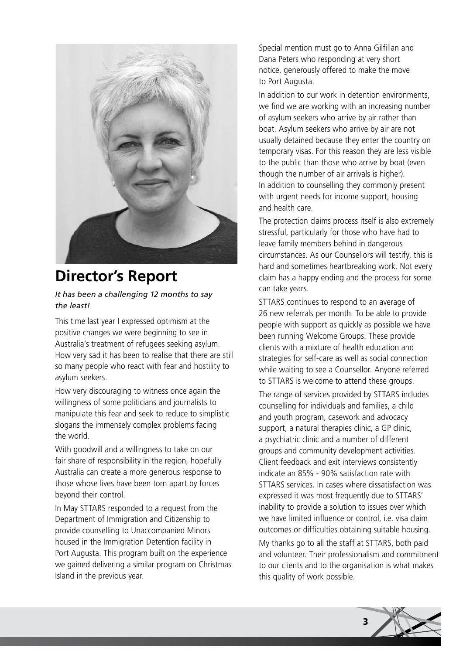

## **Director's Report**

#### *It has been a challenging 12 months to say the least!*

This time last year I expressed optimism at the positive changes we were beginning to see in Australia's treatment of refugees seeking asylum. How very sad it has been to realise that there are still so many people who react with fear and hostility to asylum seekers.

How very discouraging to witness once again the willingness of some politicians and journalists to manipulate this fear and seek to reduce to simplistic slogans the immensely complex problems facing the world.

With goodwill and a willingness to take on our fair share of responsibility in the region, hopefully Australia can create a more generous response to those whose lives have been torn apart by forces beyond their control.

In May STTARS responded to a request from the Department of Immigration and Citizenship to provide counselling to Unaccompanied Minors housed in the Immigration Detention facility in Port Augusta. This program built on the experience we gained delivering a similar program on Christmas Island in the previous year.

Special mention must go to Anna Gilfillan and Dana Peters who responding at very short notice, generously offered to make the move to Port Augusta.

In addition to our work in detention environments, we find we are working with an increasing number of asylum seekers who arrive by air rather than boat. Asylum seekers who arrive by air are not usually detained because they enter the country on temporary visas. For this reason they are less visible to the public than those who arrive by boat (even though the number of air arrivals is higher). In addition to counselling they commonly present with urgent needs for income support, housing and health care.

The protection claims process itself is also extremely stressful, particularly for those who have had to leave family members behind in dangerous circumstances. As our Counsellors will testify, this is hard and sometimes heartbreaking work. Not every claim has a happy ending and the process for some can take years.

STTARS continues to respond to an average of 26 new referrals per month. To be able to provide people with support as quickly as possible we have been running Welcome Groups. These provide clients with a mixture of health education and strategies for self-care as well as social connection while waiting to see a Counsellor. Anyone referred to STTARS is welcome to attend these groups.

The range of services provided by STTARS includes counselling for individuals and families, a child and youth program, casework and advocacy support, a natural therapies clinic, a GP clinic, a psychiatric clinic and a number of different groups and community development activities. Client feedback and exit interviews consistently indicate an 85% - 90% satisfaction rate with STTARS services. In cases where dissatisfaction was expressed it was most frequently due to STTARS' inability to provide a solution to issues over which we have limited influence or control, i.e. visa claim outcomes or difficulties obtaining suitable housing.

My thanks go to all the staff at STTARS, both paid and volunteer. Their professionalism and commitment to our clients and to the organisation is what makes this quality of work possible.

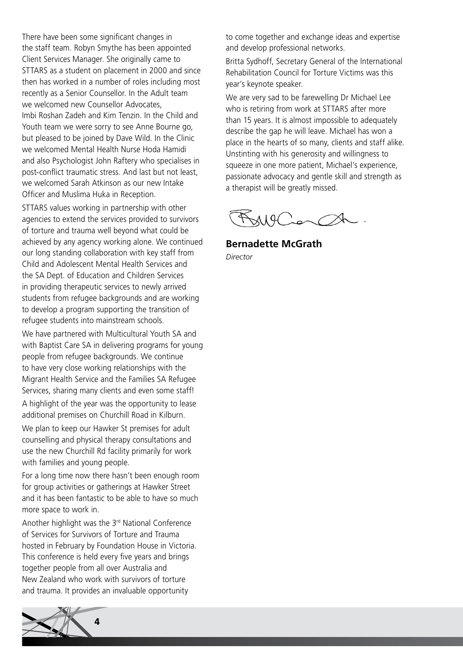There have been some significant changes in the staff team. Robyn Smythe has been appointed Client Services Manager. She originally came to STTARS as a student on placement in 2000 and since then has worked in a number of roles including most recently as a Senior Counsellor. In the Adult team we welcomed new Counsellor Advocates, Imbi Roshan Zadeh and Kim Tenzin. In the Child and Youth team we were sorry to see Anne Bourne go, but pleased to be joined by Dave Wild. In the Clinic we welcomed Mental Health Nurse Hoda Hamidi and also Psychologist John Raftery who specialises in post-conflict traumatic stress. And last but not least, we welcomed Sarah Atkinson as our new Intake Officer and Muslima Huka in Reception.

STTARS values working in partnership with other agencies to extend the services provided to survivors of torture and trauma well beyond what could be achieved by any agency working alone. We continued our long standing collaboration with key staff from Child and Adolescent Mental Health Services and the SA Dept. of Education and Children Services in providing therapeutic services to newly arrived students from refugee backgrounds and are working to develop a program supporting the transition of refugee students into mainstream schools.

We have partnered with Multicultural Youth SA and with Baptist Care SA in delivering programs for young people from refugee backgrounds. We continue to have very close working relationships with the Migrant Health Service and the Families SA Refugee Services, sharing many clients and even some staff!

A highlight of the year was the opportunity to lease additional premises on Churchill Road in Kilburn.

We plan to keep our Hawker St premises for adult counselling and physical therapy consultations and use the new Churchill Rd facility primarily for work with families and young people.

For a long time now there hasn't been enough room for group activities or gatherings at Hawker Street and it has been fantastic to be able to have so much more space to work in.

Another highlight was the 3rd National Conference of Services for Survivors of Torture and Trauma hosted in February by Foundation House in Victoria. This conference is held every five years and brings together people from all over Australia and New Zealand who work with survivors of torture and trauma. It provides an invaluable opportunity



to come together and exchange ideas and expertise and develop professional networks.

Britta Sydhoff, Secretary General of the International Rehabilitation Council for Torture Victims was this year's keynote speaker.

We are very sad to be farewelling Dr Michael Lee who is retiring from work at STTARS after more than 15 years. It is almost impossible to adequately describe the gap he will leave. Michael has won a place in the hearts of so many, clients and staff alike. Unstinting with his generosity and willingness to squeeze in one more patient, Michael's experience, passionate advocacy and gentle skill and strength as a therapist will be greatly missed.

RANGConch.

**Bernadette McGrath** *Director*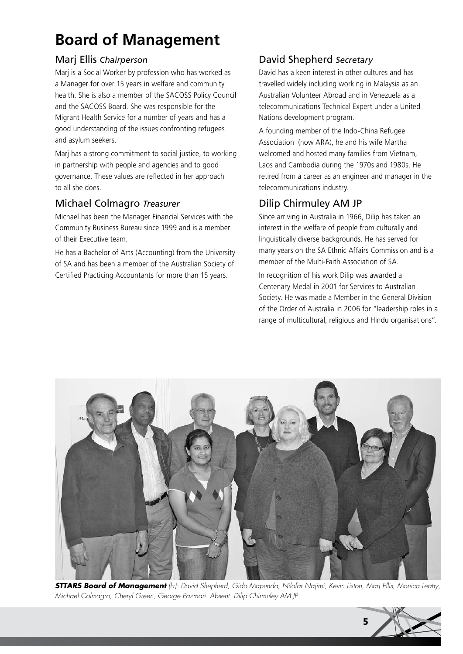## **Board of Management**

#### Marj Ellis *Chairperson*

Marj is a Social Worker by profession who has worked as a Manager for over 15 years in welfare and community health. She is also a member of the SACOSS Policy Council and the SACOSS Board. She was responsible for the Migrant Health Service for a number of years and has a good understanding of the issues confronting refugees and asylum seekers.

Marj has a strong commitment to social justice, to working in partnership with people and agencies and to good governance. These values are reflected in her approach to all she does.

#### Michael Colmagro *Treasurer*

Michael has been the Manager Financial Services with the Community Business Bureau since 1999 and is a member of their Executive team.

He has a Bachelor of Arts (Accounting) from the University of SA and has been a member of the Australian Society of Certified Practicing Accountants for more than 15 years.

#### David Shepherd *Secretary*

David has a keen interest in other cultures and has travelled widely including working in Malaysia as an Australian Volunteer Abroad and in Venezuela as a telecommunications Technical Expert under a United Nations development program.

A founding member of the Indo-China Refugee Association (now ARA), he and his wife Martha welcomed and hosted many families from Vietnam, Laos and Cambodia during the 1970s and 1980s. He retired from a career as an engineer and manager in the telecommunications industry.

#### Dilip Chirmuley AM JP

Since arriving in Australia in 1966, Dilip has taken an interest in the welfare of people from culturally and linguistically diverse backgrounds. He has served for many years on the SA Ethnic Affairs Commission and is a member of the Multi-Faith Association of SA.

In recognition of his work Dilip was awarded a Centenary Medal in 2001 for Services to Australian Society. He was made a Member in the General Division of the Order of Australia in 2006 for "leadership roles in a range of multicultural, religious and Hindu organisations".



*STTARS Board of Management (l-r): David Shepherd, Gido Mapunda, Nilofar Najimi, Kevin Liston, Marj Ellis, Monica Leahy, Michael Colmagro, Cheryl Green, George Pazman. Absent: Dilip Chirmuley AM JP*

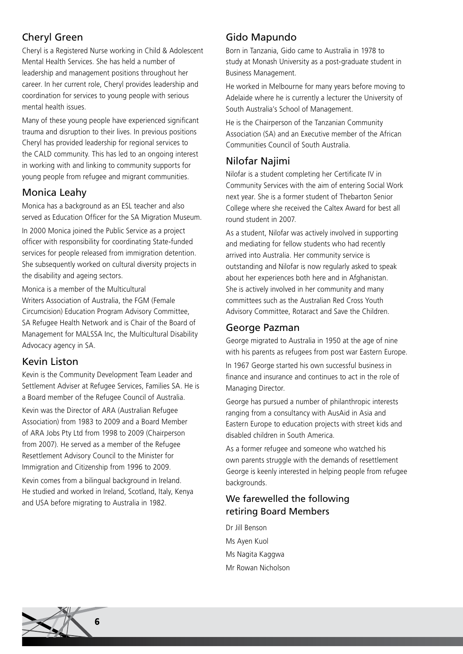#### Cheryl Green

Cheryl is a Registered Nurse working in Child & Adolescent Mental Health Services. She has held a number of leadership and management positions throughout her career. In her current role, Cheryl provides leadership and coordination for services to young people with serious mental health issues.

Many of these young people have experienced significant trauma and disruption to their lives. In previous positions Cheryl has provided leadership for regional services to the CALD community. This has led to an ongoing interest in working with and linking to community supports for young people from refugee and migrant communities.

#### Monica Leahy

Monica has a background as an ESL teacher and also served as Education Officer for the SA Migration Museum.

In 2000 Monica joined the Public Service as a project officer with responsibility for coordinating State-funded services for people released from immigration detention. She subsequently worked on cultural diversity projects in the disability and ageing sectors.

Monica is a member of the Multicultural Writers Association of Australia, the FGM (Female Circumcision) Education Program Advisory Committee, SA Refugee Health Network and is Chair of the Board of Management for MALSSA Inc, the Multicultural Disability Advocacy agency in SA.

#### Kevin Liston

Kevin is the Community Development Team Leader and Settlement Adviser at Refugee Services, Families SA. He is a Board member of the Refugee Council of Australia.

Kevin was the Director of ARA (Australian Refugee Association) from 1983 to 2009 and a Board Member of ARA Jobs Pty Ltd from 1998 to 2009 (Chairperson from 2007). He served as a member of the Refugee Resettlement Advisory Council to the Minister for Immigration and Citizenship from 1996 to 2009.

Kevin comes from a bilingual background in Ireland. He studied and worked in Ireland, Scotland, Italy, Kenya and USA before migrating to Australia in 1982.

#### Gido Mapundo

Born in Tanzania, Gido came to Australia in 1978 to study at Monash University as a post-graduate student in Business Management.

He worked in Melbourne for many years before moving to Adelaide where he is currently a lecturer the University of South Australia's School of Management.

He is the Chairperson of the Tanzanian Community Association (SA) and an Executive member of the African Communities Council of South Australia.

#### Nilofar Najimi

Nilofar is a student completing her Certificate IV in Community Services with the aim of entering Social Work next year. She is a former student of Thebarton Senior College where she received the Caltex Award for best all round student in 2007.

As a student, Nilofar was actively involved in supporting and mediating for fellow students who had recently arrived into Australia. Her community service is outstanding and Nilofar is now regularly asked to speak about her experiences both here and in Afghanistan. She is actively involved in her community and many committees such as the Australian Red Cross Youth Advisory Committee, Rotaract and Save the Children.

#### George Pazman

George migrated to Australia in 1950 at the age of nine with his parents as refugees from post war Eastern Europe. In 1967 George started his own successful business in finance and insurance and continues to act in the role of Managing Director.

George has pursued a number of philanthropic interests ranging from a consultancy with AusAid in Asia and Eastern Europe to education projects with street kids and disabled children in South America.

As a former refugee and someone who watched his own parents struggle with the demands of resettlement George is keenly interested in helping people from refugee backgrounds.

#### We farewelled the following retiring Board Members

Dr Jill Benson Ms Ayen Kuol Ms Nagita Kaggwa Mr Rowan Nicholson

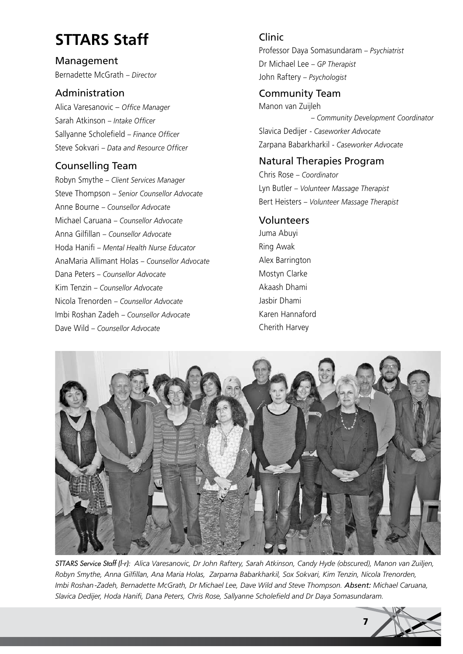## **STTARS Staff**

Management Bernadette McGrath *– Director*

#### Administration

Alica Varesanovic – *Office Manager* Sarah Atkinson *– Intake Officer* Sallyanne Scholefield *– Finance Officer* Steve Sokvari *– Data and Resource Officer*

#### Counselling Team

Robyn Smythe *– Client Services Manager* Steve Thompson *– Senior Counsellor Advocate* Anne Bourne *– Counsellor Advocate* Michael Caruana *– Counsellor Advocate* Anna Gilfillan *– Counsellor Advocate* Hoda Hanifi *– Mental Health Nurse Educator* AnaMaria Allimant Holas *– Counsellor Advocate* Dana Peters *– Counsellor Advocate* Kim Tenzin *– Counsellor Advocate* Nicola Trenorden *– Counsellor Advocate* Imbi Roshan Zadeh *– Counsellor Advocate* Dave Wild *– Counsellor Advocate*

## Clinic Professor Daya Somasundaram *– Psychiatrist*

Dr Michael Lee *– GP Therapist* John Raftery *– Psychologist*

#### Community Team

Manon van Zuijleh *– Community Development Coordinator* Slavica Dedijer *- Caseworker Advocate* Zarpana Babarkharkil *- Caseworker Advocate*

#### Natural Therapies Program

Chris Rose *– Coordinator* Lyn Butler *– Volunteer Massage Therapist* Bert Heisters *– Volunteer Massage Therapist*

#### Volunteers

Juma Abuyi Ring Awak Alex Barrington Mostyn Clarke Akaash Dhami Jasbir Dhami Karen Hannaford Cherith Harvey



*STTARS Service Staff (l-r): Alica Varesanovic, Dr John Raftery, Sarah Atkinson, Candy Hyde (obscured), Manon van Zuiljen, Robyn Smythe, Anna Gilfillan, Ana Maria Holas, Zarparna Babarkharkil, Sox Sokvari, Kim Tenzin, Nicola Trenorden, Imbi Roshan-Zadeh, Bernadette McGrath, Dr Michael Lee, Dave Wild and Steve Thompson. Absent: Michael Caruana, Slavica Dedijer, Hoda Hanifi, Dana Peters, Chris Rose, Sallyanne Scholefield and Dr Daya Somasundaram.*

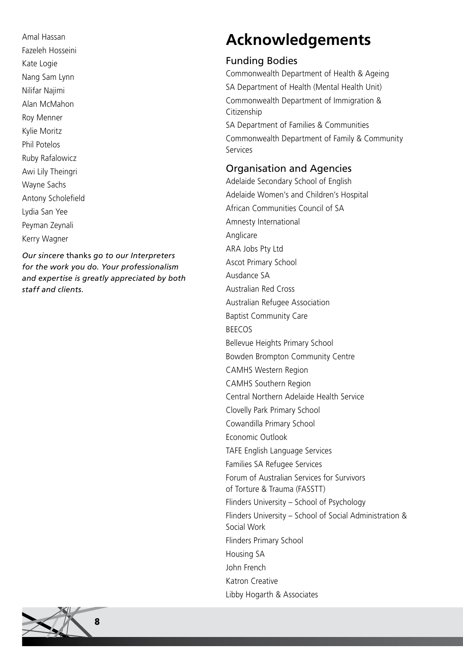Amal Hassan Fazeleh Hosseini Kate Logie Nang Sam Lynn Nilifar Najimi Alan McMahon Roy Menner Kylie Moritz Phil Potelos Ruby Rafalowicz Awi Lily Theingri Wayne Sachs Antony Scholefield Lydia San Yee Peyman Zeynali Kerry Wagner

*Our sincere* thanks *go to our Interpreters for the work you do. Your professionalism and expertise is greatly appreciated by both staff and clients.*

## **Acknowledgements**

#### Funding Bodies

Commonwealth Department of Health & Ageing SA Department of Health (Mental Health Unit) Commonwealth Department of Immigration & Citizenship SA Department of Families & Communities

Commonwealth Department of Family & Community Services

#### Organisation and Agencies

Adelaide Secondary School of English Adelaide Women's and Children's Hospital African Communities Council of SA Amnesty International Anglicare ARA Jobs Pty Ltd Ascot Primary School Ausdance SA Australian Red Cross Australian Refugee Association Baptist Community Care BEECOS Bellevue Heights Primary School Bowden Brompton Community Centre CAMHS Western Region CAMHS Southern Region Central Northern Adelaide Health Service Clovelly Park Primary School Cowandilla Primary School Economic Outlook TAFE English Language Services Families SA Refugee Services Forum of Australian Services for Survivors of Torture & Trauma (FASSTT) Flinders University – School of Psychology Flinders University – School of Social Administration & Social Work Flinders Primary School Housing SA John French Katron Creative Libby Hogarth & Associates

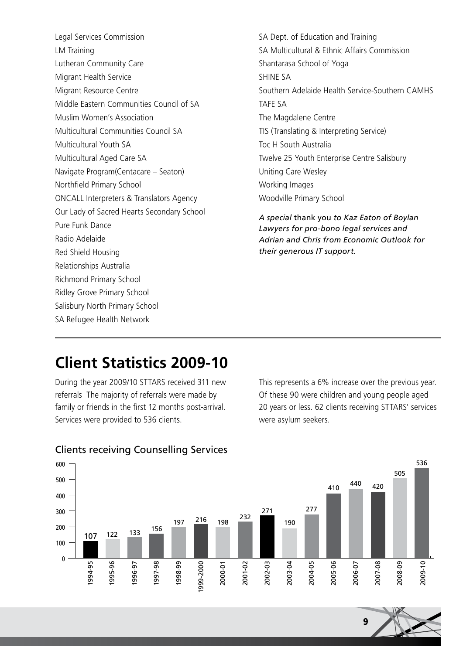- Legal Services Commission LM Training Lutheran Community Care Migrant Health Service Migrant Resource Centre Middle Eastern Communities Council of SA Muslim Women's Association Multicultural Communities Council SA Multicultural Youth SA Multicultural Aged Care SA Navigate Program(Centacare – Seaton) Northfield Primary School ONCALL Interpreters & Translators Agency Our Lady of Sacred Hearts Secondary School Pure Funk Dance Radio Adelaide Red Shield Housing Relationships Australia Richmond Primary School Ridley Grove Primary School Salisbury North Primary School SA Refugee Health Network
- SA Dept. of Education and Training SA Multicultural & Ethnic Affairs Commission Shantarasa School of Yoga SHINE SA Southern Adelaide Health Service-Southern CAMHS TAFE SA The Magdalene Centre TIS (Translating & Interpreting Service) Toc H South Australia Twelve 25 Youth Enterprise Centre Salisbury Uniting Care Wesley Working Images Woodville Primary School

*A special* thank you *to Kaz Eaton of Boylan Lawyers for pro-bono legal services and Adrian and Chris from Economic Outlook for their generous IT support.*

### **Client Statistics 2009-10**

During the year 2009/10 STTARS received 311 new referrals The majority of referrals were made by family or friends in the first 12 months post-arrival. Services were provided to 536 clients.

This represents a 6% increase over the previous year. Of these 90 were children and young people aged 20 years or less. 62 clients receiving STTARS' services were asylum seekers.



#### Clients receiving Counselling Services

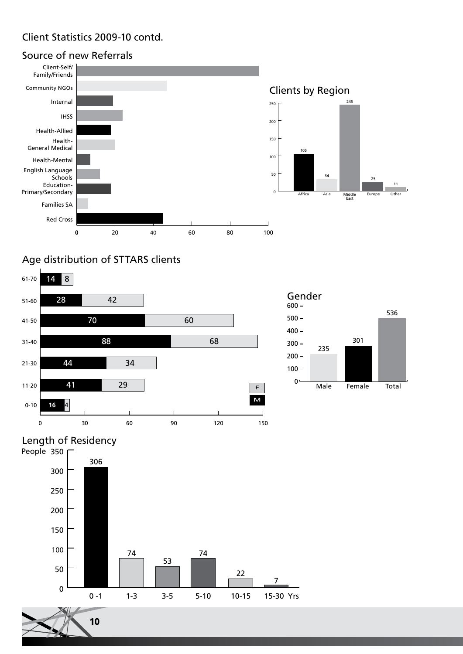#### Client Statistics 2009-10 contd.

#### **0** 20 40 60 80 100 Red Cross Families SA Education-Primary/Secondary English Language Schools Health-Mental Health-General Medical Health-Allied IHSS Internal Client-Self/ Family/Friends Source of new Referrals Clients by Region Middle East Africa Asia Europe Other  $\overline{0}$ 50 100 150 200 250 105 34 245 25 Community NGOs

#### Age distribution of STTARS clients





11

### Length of Residency

10

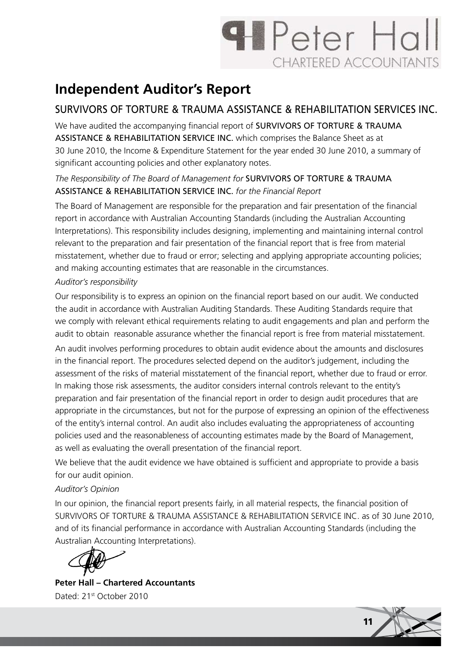# **H** Peter Hall **CHARTERED ACCOUNTANTS**

## **Independent Auditor's Report**

#### SURVIVORS OF TORTURE & TRAUMA ASSISTANCE & REHABILITATION SERVICES INC.

We have audited the accompanying financial report of **SURVIVORS OF TORTURE & TRAUMA** ASSISTANCE & REHABILITATION SERVICE INC. which comprises the Balance Sheet as at 30 June 2010, the Income & Expenditure Statement for the year ended 30 June 2010, a summary of significant accounting policies and other explanatory notes.

#### *The Responsibility of The Board of Management for* SURVIVORS OF TORTURE & TRAUMA ASSISTANCE & REHABILITATION SERVICE INC. *for the Financial Report*

The Board of Management are responsible for the preparation and fair presentation of the financial report in accordance with Australian Accounting Standards (including the Australian Accounting Interpretations). This responsibility includes designing, implementing and maintaining internal control relevant to the preparation and fair presentation of the financial report that is free from material misstatement, whether due to fraud or error; selecting and applying appropriate accounting policies; and making accounting estimates that are reasonable in the circumstances.

#### *Auditor's responsibility*

Our responsibility is to express an opinion on the financial report based on our audit. We conducted the audit in accordance with Australian Auditing Standards. These Auditing Standards require that we comply with relevant ethical requirements relating to audit engagements and plan and perform the audit to obtain reasonable assurance whether the financial report is free from material misstatement.

An audit involves performing procedures to obtain audit evidence about the amounts and disclosures in the financial report. The procedures selected depend on the auditor's judgement, including the assessment of the risks of material misstatement of the financial report, whether due to fraud or error. In making those risk assessments, the auditor considers internal controls relevant to the entity's preparation and fair presentation of the financial report in order to design audit procedures that are appropriate in the circumstances, but not for the purpose of expressing an opinion of the effectiveness of the entity's internal control. An audit also includes evaluating the appropriateness of accounting policies used and the reasonableness of accounting estimates made by the Board of Management, as well as evaluating the overall presentation of the financial report.

We believe that the audit evidence we have obtained is sufficient and appropriate to provide a basis for our audit opinion.

#### *Auditor's Opinion*

In our opinion, the financial report presents fairly, in all material respects, the financial position of SURVIVORS OF TORTURE & TRAUMA ASSISTANCE & REHABILITATION SERVICE INC. as of 30 June 2010, and of its financial performance in accordance with Australian Accounting Standards (including the Australian Accounting Interpretations).

**Peter Hall – Chartered Accountants** Dated: 21<sup>st</sup> October 2010

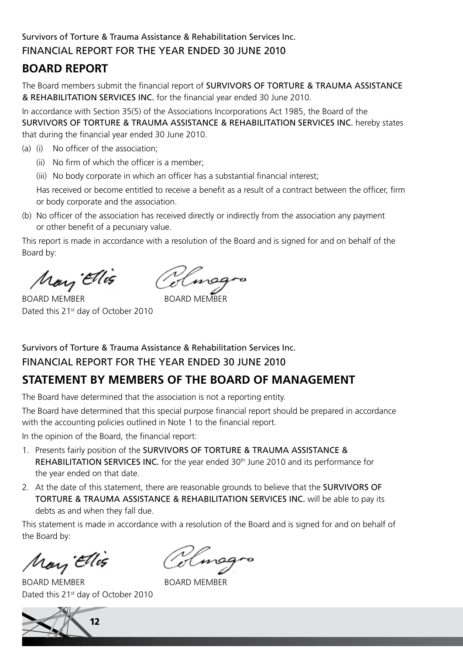#### Survivors of Torture & Trauma Assistance & Rehabilitation Services Inc. FINANCIAL REPORT FOR THE YEAR ENDED 30 JUNE 2010

#### **BOARD REPORT**

The Board members submit the financial report of SURVIVORS OF TORTURE & TRAUMA ASSISTANCE & REHABILITATION SERVICES INC. for the financial year ended 30 June 2010.

In accordance with Section 35(5) of the Associations Incorporations Act 1985, the Board of the SURVIVORS OF TORTURE & TRAUMA ASSISTANCE & REHABILITATION SERVICES INC. hereby states that during the financial year ended 30 June 2010.

- (a) (i) No officer of the association;
	- (ii) No firm of which the officer is a member;
	- (iii) No body corporate in which an officer has a substantial financial interest;

Has received or become entitled to receive a benefit as a result of a contract between the officer, firm or body corporate and the association.

(b) No officer of the association has received directly or indirectly from the association any payment or other benefit of a pecuniary value.

This report is made in accordance with a resolution of the Board and is signed for and on behalf of the Board by:

May Ellis

BOARD MEMBER BOARD MFMBFR Dated this 21<sup>st</sup> day of October 2010

Survivors of Torture & Trauma Assistance & Rehabilitation Services Inc. FINANCIAL REPORT FOR THE YEAR ENDED 30 JUNE 2010

#### **STATEMENT BY MEMBERS OF THE BOARD OF MANAGEMENT**

The Board have determined that the association is not a reporting entity.

The Board have determined that this special purpose financial report should be prepared in accordance with the accounting policies outlined in Note 1 to the financial report.

In the opinion of the Board, the financial report:

- 1. Presents fairly position of the SURVIVORS OF TORTURE & TRAUMA ASSISTANCE & REHABILITATION SERVICES INC. for the year ended 30<sup>th</sup> June 2010 and its performance for the year ended on that date.
- 2. At the date of this statement, there are reasonable grounds to believe that the SURVIVORS OF TORTURE & TRAUMA ASSISTANCE & REHABILITATION SERVICES INC. will be able to pay its debts as and when they fall due.

This statement is made in accordance with a resolution of the Board and is signed for and on behalf of the Board by:

May Ellis

BOARD MEMBER BOARD MEMBER Dated this 21<sup>st</sup> day of October 2010

12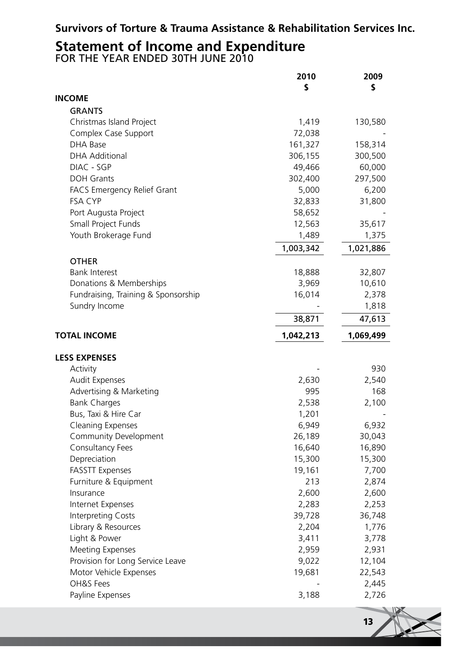#### **Survivors of Torture & Trauma Assistance & Rehabilitation Services Inc.**

## **Statement of Income and Expenditure** FOR THE YEAR ENDED 30TH JUNE 2010

|                                     | 2010      | 2009      |
|-------------------------------------|-----------|-----------|
|                                     | S         | \$        |
| <b>INCOME</b>                       |           |           |
| <b>GRANTS</b>                       |           |           |
| Christmas Island Project            | 1,419     | 130,580   |
| Complex Case Support                | 72,038    |           |
| <b>DHA Base</b>                     | 161,327   | 158,314   |
| <b>DHA Additional</b>               | 306,155   | 300,500   |
| DIAC - SGP                          | 49,466    | 60,000    |
| <b>DOH Grants</b>                   | 302,400   | 297,500   |
| <b>FACS Emergency Relief Grant</b>  | 5,000     | 6,200     |
| <b>FSA CYP</b>                      | 32,833    | 31,800    |
| Port Augusta Project                | 58,652    |           |
| Small Project Funds                 | 12,563    | 35,617    |
| Youth Brokerage Fund                | 1,489     | 1,375     |
|                                     | 1,003,342 | 1,021,886 |
| <b>OTHER</b>                        |           |           |
| <b>Bank Interest</b>                | 18,888    | 32,807    |
| Donations & Memberships             | 3,969     | 10,610    |
| Fundraising, Training & Sponsorship | 16,014    | 2,378     |
| Sundry Income                       |           | 1,818     |
|                                     | 38,871    | 47,613    |
| <b>TOTAL INCOME</b>                 | 1,042,213 | 1,069,499 |
|                                     |           |           |
| <b>LESS EXPENSES</b>                |           |           |
| Activity                            |           | 930       |
| Audit Expenses                      | 2,630     | 2,540     |
| Advertising & Marketing             | 995       | 168       |
| <b>Bank Charges</b>                 | 2,538     | 2,100     |
| Bus, Taxi & Hire Car                | 1,201     |           |
| <b>Cleaning Expenses</b>            | 6,949     | 6,932     |
| Community Development               | 26,189    | 30,043    |
| Consultancy Fees                    | 16,640    | 16,890    |
| Depreciation                        | 15,300    | 15,300    |
| <b>FASSTT Expenses</b>              | 19,161    | 7,700     |
| Furniture & Equipment               | 213       | 2,874     |
| Insurance                           | 2,600     | 2,600     |
| Internet Expenses                   | 2,283     | 2,253     |
| Interpreting Costs                  | 39,728    | 36,748    |
| Library & Resources                 | 2,204     | 1,776     |
| Light & Power                       | 3,411     | 3,778     |
| <b>Meeting Expenses</b>             | 2,959     | 2,931     |
| Provision for Long Service Leave    | 9,022     | 12,104    |
| Motor Vehicle Expenses              | 19,681    | 22,543    |
| OH&S Fees                           |           | 2,445     |
| Payline Expenses                    | 3,188     | 2,726     |

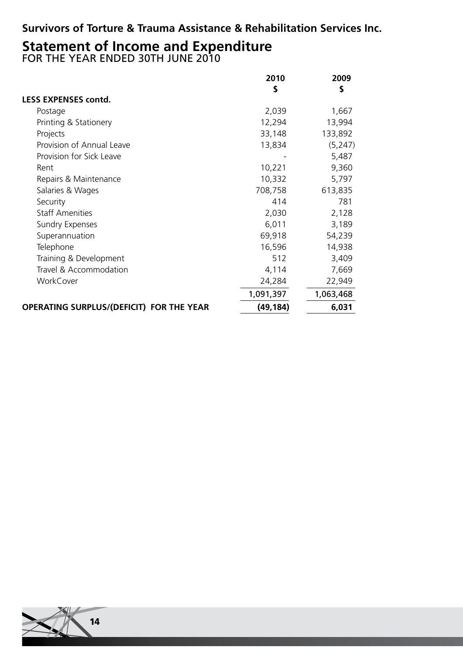#### **Survivors of Torture & Trauma Assistance & Rehabilitation Services Inc.**

## **Statement of Income and Expenditure** FOR THE YEAR ENDED 30TH JUNE 2010

|                                                 | 2010      | 2009      |
|-------------------------------------------------|-----------|-----------|
|                                                 | \$        | \$        |
| <b>LESS EXPENSES contd.</b>                     |           |           |
| Postage                                         | 2,039     | 1,667     |
| Printing & Stationery                           | 12,294    | 13,994    |
| Projects                                        | 33,148    | 133,892   |
| Provision of Annual Leave                       | 13,834    | (5, 247)  |
| Provision for Sick Leave                        |           | 5,487     |
| Rent                                            | 10,221    | 9,360     |
| Repairs & Maintenance                           | 10,332    | 5,797     |
| Salaries & Wages                                | 708,758   | 613,835   |
| Security                                        | 414       | 781       |
| <b>Staff Amenities</b>                          | 2,030     | 2,128     |
| <b>Sundry Expenses</b>                          | 6,011     | 3,189     |
| Superannuation                                  | 69,918    | 54,239    |
| Telephone                                       | 16,596    | 14,938    |
| Training & Development                          | 512       | 3,409     |
| Travel & Accommodation                          | 4,114     | 7,669     |
| WorkCover                                       | 24,284    | 22,949    |
|                                                 | 1,091,397 | 1,063,468 |
| <b>OPERATING SURPLUS/(DEFICIT) FOR THE YEAR</b> | (49, 184) | 6,031     |

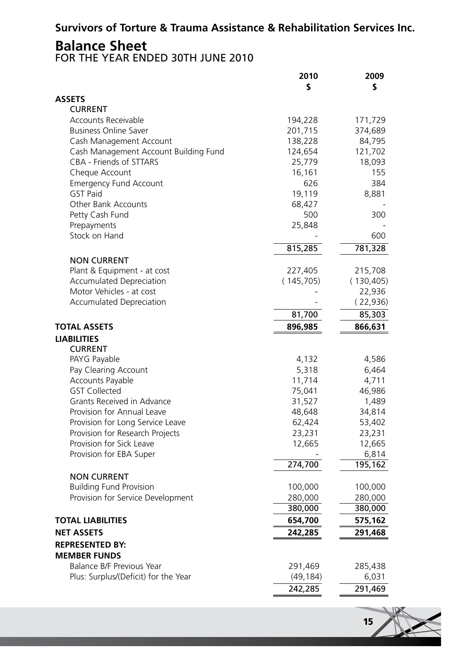#### **Survivors of Torture & Trauma Assistance & Rehabilitation Services Inc.**

**Balance Sheet** FOR THE YEAR ENDED 30TH JUNE 2010

|                                                                  | 2010               | 2009              |
|------------------------------------------------------------------|--------------------|-------------------|
|                                                                  | \$                 | \$                |
| <b>ASSETS</b>                                                    |                    |                   |
| <b>CURRENT</b>                                                   |                    |                   |
| <b>Accounts Receivable</b><br><b>Business Online Saver</b>       | 194,228            | 171,729           |
|                                                                  | 201,715            | 374,689           |
| Cash Management Account<br>Cash Management Account Building Fund | 138,228<br>124,654 | 84,795<br>121,702 |
| CBA - Friends of STTARS                                          | 25,779             | 18,093            |
| Cheque Account                                                   | 16,161             | 155               |
| <b>Emergency Fund Account</b>                                    | 626                | 384               |
| <b>GST Paid</b>                                                  | 19,119             | 8,881             |
| Other Bank Accounts                                              | 68,427             |                   |
| Petty Cash Fund                                                  | 500                | 300               |
| Prepayments                                                      | 25,848             |                   |
| Stock on Hand                                                    |                    | 600               |
|                                                                  | 815,285            | 781,328           |
| <b>NON CURRENT</b>                                               |                    |                   |
| Plant & Equipment - at cost                                      | 227,405            | 215,708           |
| <b>Accumulated Depreciation</b>                                  | (145, 705)         | (130, 405)        |
| Motor Vehicles - at cost                                         |                    | 22,936            |
| <b>Accumulated Depreciation</b>                                  |                    | (22,936)          |
|                                                                  | 81,700             | 85,303            |
| <b>TOTAL ASSETS</b>                                              | 896,985            | 866,631           |
|                                                                  |                    |                   |
| <b>LIABILITIES</b>                                               |                    |                   |
| <b>CURRENT</b><br>PAYG Payable                                   | 4,132              | 4,586             |
| Pay Clearing Account                                             | 5,318              | 6,464             |
| Accounts Payable                                                 | 11,714             | 4,711             |
| <b>GST Collected</b>                                             | 75,041             | 46,986            |
| Grants Received in Advance                                       | 31,527             | 1,489             |
| Provision for Annual Leave                                       | 48,648             | 34,814            |
| Provision for Long Service Leave                                 | 62,424             | 53,402            |
| Provision for Research Projects                                  | 23,231             | 23,231            |
| Provision for Sick Leave                                         | 12,665             | 12,665            |
| Provision for EBA Super                                          |                    | 6,814             |
|                                                                  | 274,700            | 195,162           |
| <b>NON CURRENT</b>                                               |                    |                   |
| <b>Building Fund Provision</b>                                   | 100,000            | 100,000           |
| Provision for Service Development                                | 280,000            | 280,000           |
|                                                                  | 380,000            | 380,000           |
| <b>TOTAL LIABILITIES</b>                                         | 654,700            | 575,162           |
| <b>NET ASSETS</b>                                                | 242,285            | 291,468           |
| <b>REPRESENTED BY:</b>                                           |                    |                   |
| <b>MEMBER FUNDS</b>                                              |                    |                   |
| Balance B/F Previous Year                                        | 291,469            | 285,438           |
| Plus: Surplus/(Deficit) for the Year                             | (49, 184)          | 6,031             |
|                                                                  | 242,285            | 291,469           |
|                                                                  |                    |                   |

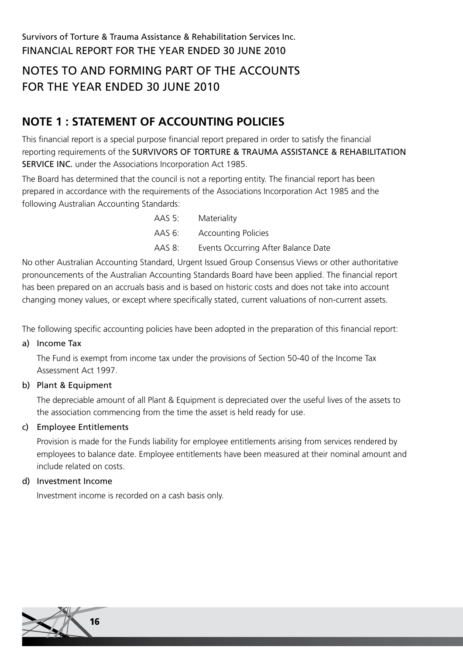### NOTES TO AND FORMING PART OF THE ACCOUNTS FOR THE YEAR ENDED 30 JUNE 2010

### **NOTE 1 : STATEMENT OF ACCOUNTING POLICIES**

This financial report is a special purpose financial report prepared in order to satisfy the financial reporting requirements of the SURVIVORS OF TORTURE & TRAUMA ASSISTANCE & REHABILITATION SERVICE INC. under the Associations Incorporation Act 1985.

The Board has determined that the council is not a reporting entity. The financial report has been prepared in accordance with the requirements of the Associations Incorporation Act 1985 and the following Australian Accounting Standards:

|        | AAS 5: Materiality                  |
|--------|-------------------------------------|
|        | AAS 6: Accounting Policies          |
| AAS 8: | Events Occurring After Balance Date |

No other Australian Accounting Standard, Urgent Issued Group Consensus Views or other authoritative pronouncements of the Australian Accounting Standards Board have been applied. The financial report has been prepared on an accruals basis and is based on historic costs and does not take into account changing money values, or except where specifically stated, current valuations of non-current assets.

The following specific accounting policies have been adopted in the preparation of this financial report:

a) Income Tax

The Fund is exempt from income tax under the provisions of Section 50-40 of the Income Tax Assessment Act 1997.

b) Plant & Equipment

The depreciable amount of all Plant & Equipment is depreciated over the useful lives of the assets to the association commencing from the time the asset is held ready for use.

#### c) Employee Entitlements

Provision is made for the Funds liability for employee entitlements arising from services rendered by employees to balance date. Employee entitlements have been measured at their nominal amount and include related on costs.

#### d) Investment Income

Investment income is recorded on a cash basis only.